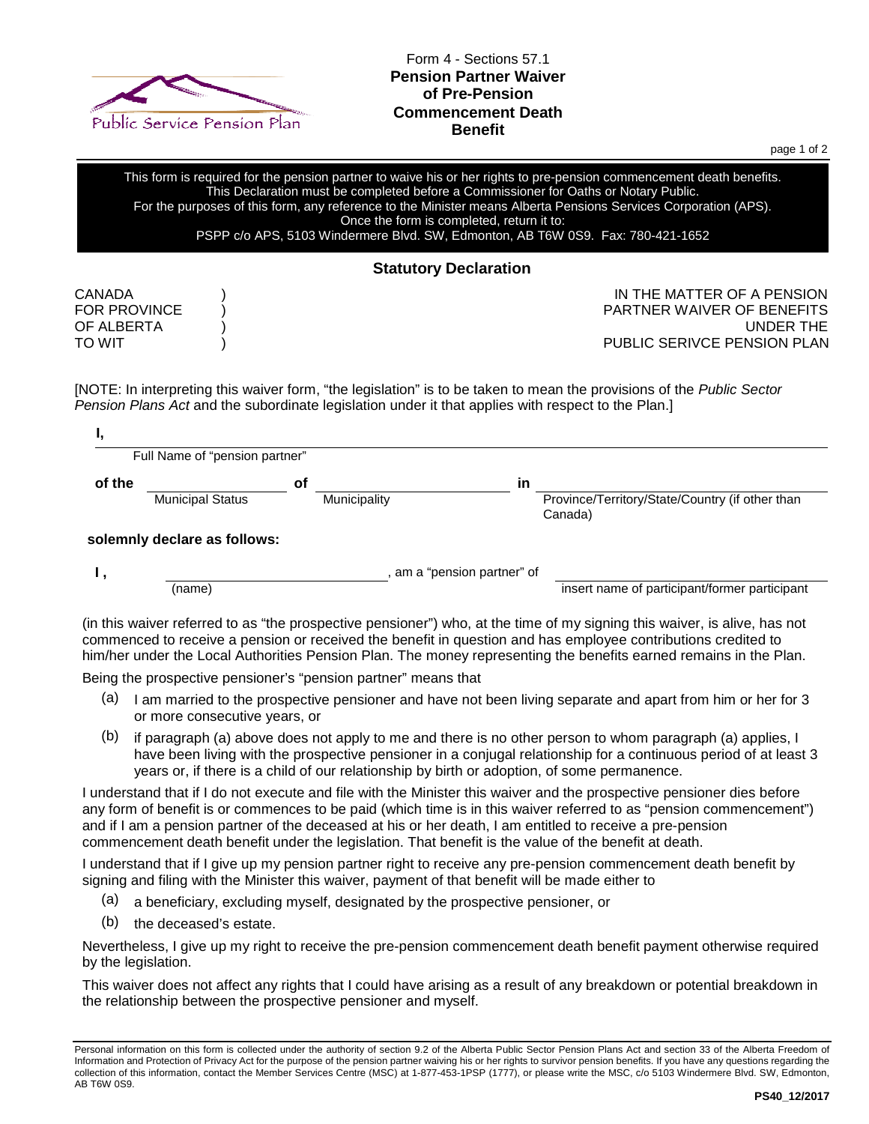

Form 4 - Sections 57.1 **Pension Partner Waiver of Pre-Pension Commencement Death Benefit**

page 1 of 2

This form is required for the pension partner to waive his or her rights to pre-pension commencement death benefits. This Declaration must be completed before a Commissioner for Oaths or Notary Public. For the purposes of this form, any reference to the Minister means Alberta Pensions Services Corporation (APS). Once the form is completed, return it to: PSPP c/o APS, 5103 Windermere Blvd. SW, Edmonton, AB T6W 0S9. Fax: 780-421-1652

## **Statutory Declaration**

CANADA ) IN THE MATTER OF A PENSION PARTNER WAIVER OF BENEFITS OF ALBERTA ) UNDER THE TO WIT TO WIT A REPORT OF THE SERIVE PENSION PLAN

[NOTE: In interpreting this waiver form, "the legislation" is to be taken to mean the provisions of the *[Public Sector](https://www.canlii.org/en/ab/laws/stat/rsa-2000-c-p-41/latest/rsa-2000-c-p-41.html)  [Pension Plans Act](https://www.canlii.org/en/ab/laws/stat/rsa-2000-c-p-41/latest/rsa-2000-c-p-41.html)* and the subordinate legislation under it that applies with respect to the [Plan.](https://www.canlii.org/en/ab/laws/regu/alta-reg-366-1993/latest/alta-reg-366-1993.html)]

|        | Full Name of "pension partner" |    |              |     |                                                            |  |  |
|--------|--------------------------------|----|--------------|-----|------------------------------------------------------------|--|--|
| of the |                                | οf |              | in. |                                                            |  |  |
|        | <b>Municipal Status</b>        |    | Municipality |     | Province/Territory/State/Country (if other than<br>Canada) |  |  |
|        | solemnly declare as follows:   |    |              |     |                                                            |  |  |
|        | am a "pension partner" of      |    |              |     |                                                            |  |  |
|        | (name)                         |    |              |     | insert name of participant/former participant              |  |  |

commenced to receive a pension or received the benefit in question and has employee contributions credited to him/her under the Local Authorities Pension Plan. The money representing the benefits earned remains in the Plan.

Being the prospective pensioner's "pension partner" means that

- (a) I am married to the prospective pensioner and have not been living separate and apart from him or her for 3 or more consecutive years, or
- $(b)$  if paragraph (a) above does not apply to me and there is no other person to whom paragraph (a) applies, I have been living with the prospective pensioner in a conjugal relationship for a continuous period of at least 3 years or, if there is a child of our relationship by birth or adoption, of some permanence.

I understand that if I do not execute and file with the Minister this waiver and the prospective pensioner dies before any form of benefit is or commences to be paid (which time is in this waiver referred to as "pension commencement") and if I am a pension partner of the deceased at his or her death, I am entitled to receive a pre-pension commencement death benefit under the legislation. That benefit is the value of the benefit at death.

I understand that if I give up my pension partner right to receive any pre-pension commencement death benefit by signing and filing with the Minister this waiver, payment of that benefit will be made either to

- (a) a beneficiary, excluding myself, designated by the prospective pensioner, or
- (b) the deceased's estate.

Nevertheless, I give up my right to receive the pre-pension commencement death benefit payment otherwise required by the legislation.

This waiver does not affect any rights that I could have arising as a result of any breakdown or potential breakdown in the relationship between the prospective pensioner and myself.

Personal information on this form is collected under the authority of section 9.2 of the Alberta Public Sector Pension Plans Act and section 33 of the Alberta Freedom of Information and Protection of Privacy Act for the purpose of the pension partner waiving his or her rights to survivor pension benefits. If you have any questions regarding the collection of this information, contact the Member Services Centre (MSC) at 1-877-453-1PSP (1777), or please write the MSC, c/o 5103 Windermere Blvd. SW, Edmonton, AB T6W 0S9.